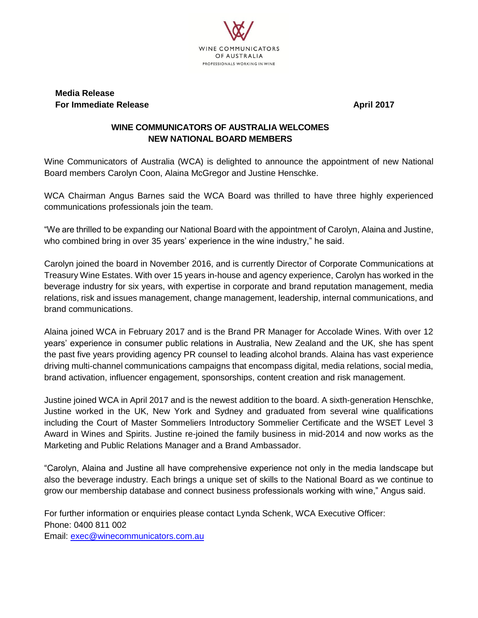

## **Media Release For Immediate Release April 2017**

## **WINE COMMUNICATORS OF AUSTRALIA WELCOMES NEW NATIONAL BOARD MEMBERS**

Wine Communicators of Australia (WCA) is delighted to announce the appointment of new National Board members Carolyn Coon, Alaina McGregor and Justine Henschke.

WCA Chairman Angus Barnes said the WCA Board was thrilled to have three highly experienced communications professionals join the team.

"We are thrilled to be expanding our National Board with the appointment of Carolyn, Alaina and Justine, who combined bring in over 35 years' experience in the wine industry," he said.

Carolyn joined the board in November 2016, and is currently Director of Corporate Communications at Treasury Wine Estates. With over 15 years in-house and agency experience, Carolyn has worked in the beverage industry for six years, with expertise in corporate and brand reputation management, media relations, risk and issues management, change management, leadership, internal communications, and brand communications.

Alaina joined WCA in February 2017 and is the Brand PR Manager for Accolade Wines. With over 12 years' experience in consumer public relations in Australia, New Zealand and the UK, she has spent the past five years providing agency PR counsel to leading alcohol brands. Alaina has vast experience driving multi-channel communications campaigns that encompass digital, media relations, social media, brand activation, influencer engagement, sponsorships, content creation and risk management.

Justine joined WCA in April 2017 and is the newest addition to the board. A sixth-generation Henschke, Justine worked in the UK, New York and Sydney and graduated from several wine qualifications including the Court of Master Sommeliers Introductory Sommelier Certificate and the WSET Level 3 Award in Wines and Spirits. Justine re-joined the family business in mid-2014 and now works as the Marketing and Public Relations Manager and a Brand Ambassador.

"Carolyn, Alaina and Justine all have comprehensive experience not only in the media landscape but also the beverage industry. Each brings a unique set of skills to the National Board as we continue to grow our membership database and connect business professionals working with wine," Angus said.

For further information or enquiries please contact Lynda Schenk, WCA Executive Officer: Phone: 0400 811 002 Email: [exec@winecommunicators.com.au](mailto:exec@winecommunicators.com.au)